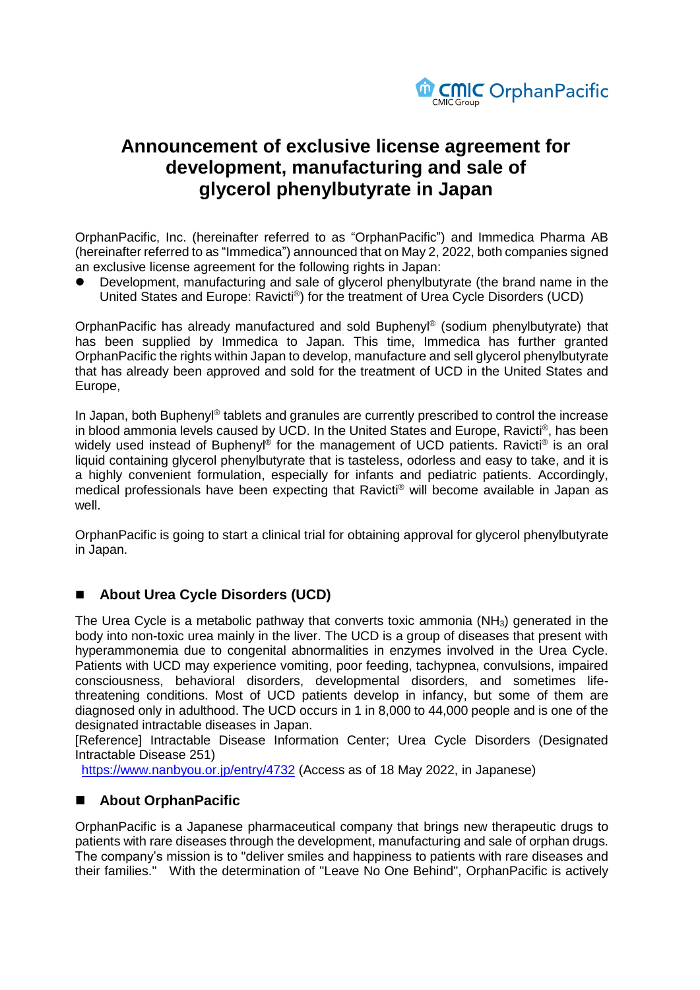

# **Announcement of exclusive license agreement for development, manufacturing and sale of glycerol phenylbutyrate in Japan**

OrphanPacific, Inc. (hereinafter referred to as "OrphanPacific") and Immedica Pharma AB (hereinafter referred to as "Immedica") announced that on May 2, 2022, both companies signed an exclusive license agreement for the following rights in Japan:

 Development, manufacturing and sale of glycerol phenylbutyrate (the brand name in the United States and Europe: Ravicti®) for the treatment of Urea Cycle Disorders (UCD)

OrphanPacific has already manufactured and sold Buphenyl® (sodium phenylbutyrate) that has been supplied by Immedica to Japan. This time, Immedica has further granted OrphanPacific the rights within Japan to develop, manufacture and sell glycerol phenylbutyrate that has already been approved and sold for the treatment of UCD in the United States and Europe,

In Japan, both Buphenyl® tablets and granules are currently prescribed to control the increase in blood ammonia levels caused by UCD. In the United States and Europe, Ravicti® , has been widely used instead of Buphenyl® for the management of UCD patients. Ravicti® is an oral liquid containing glycerol phenylbutyrate that is tasteless, odorless and easy to take, and it is a highly convenient formulation, especially for infants and pediatric patients. Accordingly, medical professionals have been expecting that Ravicti® will become available in Japan as well.

OrphanPacific is going to start a clinical trial for obtaining approval for glycerol phenylbutyrate in Japan.

### **About Urea Cycle Disorders (UCD)**

The Urea Cycle is a metabolic pathway that converts toxic ammonia (NH<sub>3</sub>) generated in the body into non-toxic urea mainly in the liver. The UCD is a group of diseases that present with hyperammonemia due to congenital abnormalities in enzymes involved in the Urea Cycle. Patients with UCD may experience vomiting, poor feeding, tachypnea, convulsions, impaired consciousness, behavioral disorders, developmental disorders, and sometimes lifethreatening conditions. Most of UCD patients develop in infancy, but some of them are diagnosed only in adulthood. The UCD occurs in 1 in 8,000 to 44,000 people and is one of the designated intractable diseases in Japan.

[Reference] Intractable Disease Information Center; Urea Cycle Disorders (Designated Intractable Disease 251)

<https://www.nanbyou.or.jp/entry/4732> (Access as of 18 May 2022, in Japanese)

### **About OrphanPacific**

OrphanPacific is a Japanese pharmaceutical company that brings new therapeutic drugs to patients with rare diseases through the development, manufacturing and sale of orphan drugs. The company's mission is to "deliver smiles and happiness to patients with rare diseases and their families." With the determination of "Leave No One Behind", OrphanPacific is actively